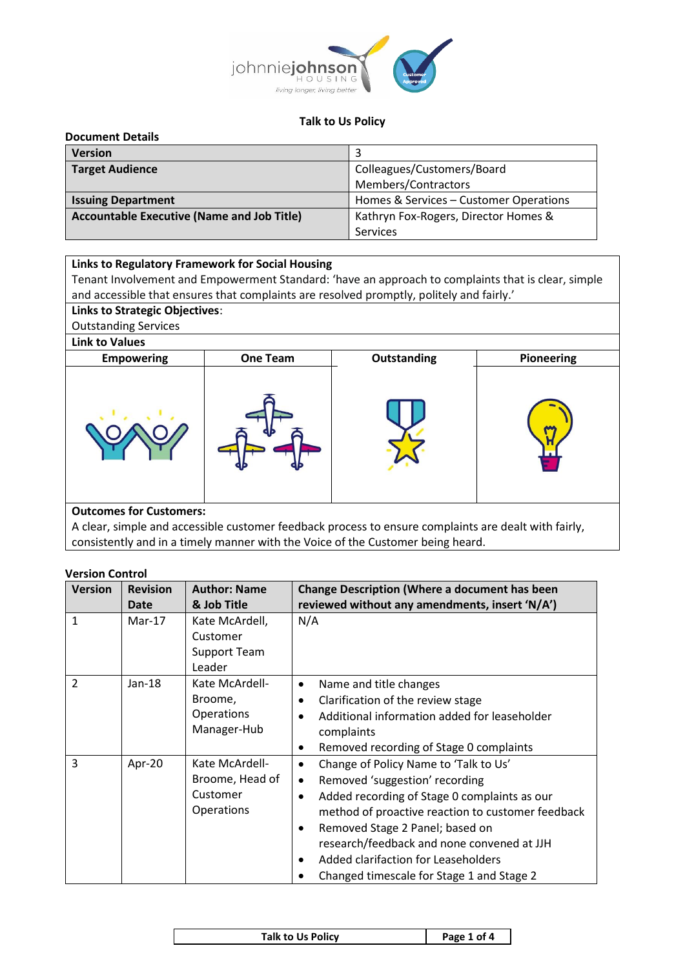

#### **Talk to Us Policy**

| <b>Document Details</b>                           |                                        |
|---------------------------------------------------|----------------------------------------|
| <b>Version</b>                                    |                                        |
| <b>Target Audience</b>                            | Colleagues/Customers/Board             |
|                                                   | Members/Contractors                    |
| <b>Issuing Department</b>                         | Homes & Services - Customer Operations |
| <b>Accountable Executive (Name and Job Title)</b> | Kathryn Fox-Rogers, Director Homes &   |
|                                                   | Services                               |

### **Links to Regulatory Framework for Social Housing**

Tenant Involvement and Empowerment Standard: 'have an approach to complaints that is clear, simple and accessible that ensures that complaints are resolved promptly, politely and fairly.'

# **Links to Strategic Objectives**: Outstanding Services

### **Link to Values**



A clear, simple and accessible customer feedback process to ensure complaints are dealt with fairly,

consistently and in a timely manner with the Voice of the Customer being heard.

### **Version Control**

| <b>Version</b> | <b>Revision</b><br>Date | <b>Author: Name</b><br>& Job Title                          | Change Description (Where a document has been<br>reviewed without any amendments, insert 'N/A')                                                                                                                                                                                                                                                                |
|----------------|-------------------------|-------------------------------------------------------------|----------------------------------------------------------------------------------------------------------------------------------------------------------------------------------------------------------------------------------------------------------------------------------------------------------------------------------------------------------------|
| $\mathbf{1}$   | $Mar-17$                | Kate McArdell,<br>Customer<br><b>Support Team</b><br>Leader | N/A                                                                                                                                                                                                                                                                                                                                                            |
| $\overline{2}$ | Jan-18                  | Kate McArdell-<br>Broome,<br>Operations<br>Manager-Hub      | Name and title changes<br>٠<br>Clarification of the review stage<br>٠<br>Additional information added for leaseholder<br>complaints<br>Removed recording of Stage 0 complaints<br>$\bullet$                                                                                                                                                                    |
| 3              | Apr-20                  | Kate McArdell-<br>Broome, Head of<br>Customer<br>Operations | Change of Policy Name to 'Talk to Us'<br>$\bullet$<br>Removed 'suggestion' recording<br>Added recording of Stage 0 complaints as our<br>method of proactive reaction to customer feedback<br>Removed Stage 2 Panel; based on<br>research/feedback and none convened at JJH<br>Added clarifaction for Leaseholders<br>Changed timescale for Stage 1 and Stage 2 |

| <b>Talk to Us Policy</b> | Page 1 of 4 |
|--------------------------|-------------|
|                          |             |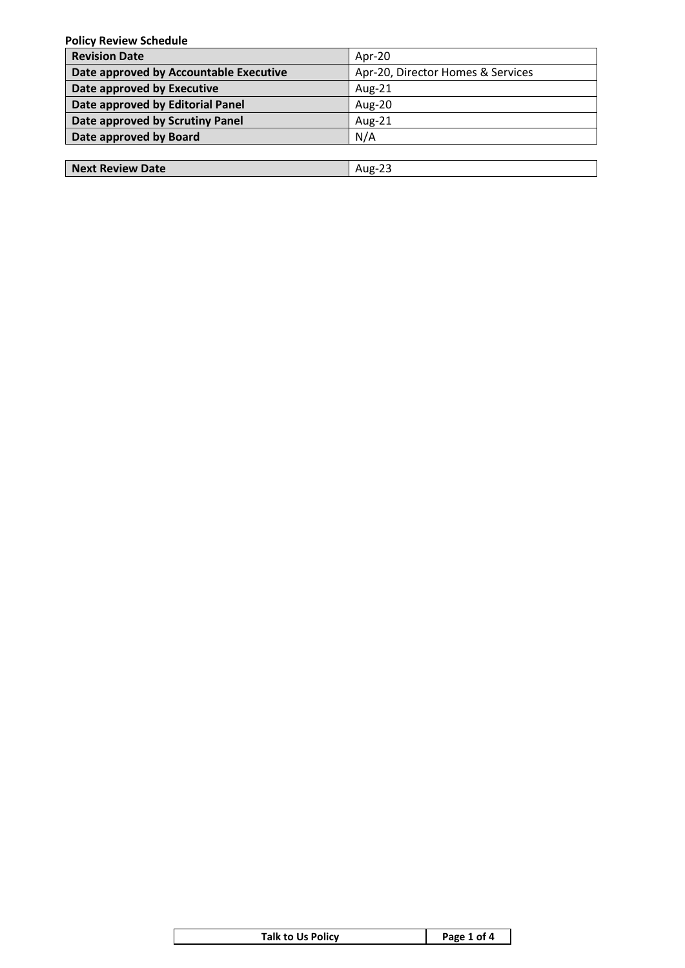**Policy Review Schedule**

| Apr-20                            |
|-----------------------------------|
| Apr-20, Director Homes & Services |
| Aug-21                            |
| Aug-20                            |
| Aug-21                            |
| N/A                               |
|                                   |

| Next Review Date | Aug- |
|------------------|------|
|                  |      |

| Talk to Us Policy | Page 1 of 4 |
|-------------------|-------------|
|                   |             |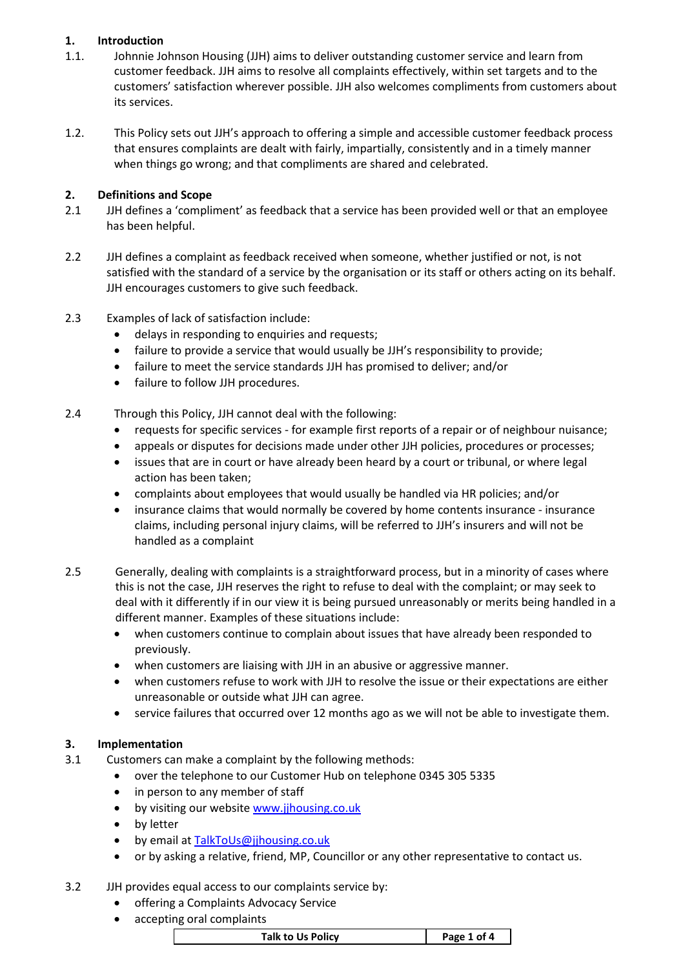# **1. Introduction**

- 1.1. Johnnie Johnson Housing (JJH) aims to deliver outstanding customer service and learn from customer feedback. JJH aims to resolve all complaints effectively, within set targets and to the customers' satisfaction wherever possible. JJH also welcomes compliments from customers about its services.
- 1.2. This Policy sets out JJH's approach to offering a simple and accessible customer feedback process that ensures complaints are dealt with fairly, impartially, consistently and in a timely manner when things go wrong; and that compliments are shared and celebrated.

# **2. Definitions and Scope**

- 2.1 JJH defines a 'compliment' as feedback that a service has been provided well or that an employee has been helpful.
- 2.2 JJH defines a complaint as feedback received when someone, whether justified or not, is not satisfied with the standard of a service by the organisation or its staff or others acting on its behalf. JJH encourages customers to give such feedback.
- 2.3 Examples of lack of satisfaction include:
	- delays in responding to enquiries and requests;
	- failure to provide a service that would usually be JJH's responsibility to provide;
	- failure to meet the service standards JJH has promised to deliver; and/or
	- failure to follow JJH procedures.
- 2.4 Through this Policy, JJH cannot deal with the following:
	- requests for specific services for example first reports of a repair or of neighbour nuisance;
	- appeals or disputes for decisions made under other JJH policies, procedures or processes;
	- issues that are in court or have already been heard by a court or tribunal, or where legal action has been taken;
	- complaints about employees that would usually be handled via HR policies; and/or
	- insurance claims that would normally be covered by home contents insurance insurance claims, including personal injury claims, will be referred to JJH's insurers and will not be handled as a complaint
- 2.5 Generally, dealing with complaints is a straightforward process, but in a minority of cases where this is not the case, JJH reserves the right to refuse to deal with the complaint; or may seek to deal with it differently if in our view it is being pursued unreasonably or merits being handled in a different manner. Examples of these situations include:
	- when customers continue to complain about issues that have already been responded to previously.
	- when customers are liaising with JJH in an abusive or aggressive manner.
	- when customers refuse to work with JJH to resolve the issue or their expectations are either unreasonable or outside what JJH can agree.
	- service failures that occurred over 12 months ago as we will not be able to investigate them.

# **3. Implementation**

- 3.1 Customers can make a complaint by the following methods:
	- over the telephone to our Customer Hub on telephone 0345 305 5335
	- in person to any member of staff
	- by visiting our website [www.jjhousing.co.uk](about:blank)
	- by letter
	- by email at [TalkToUs@jjhousing.co.uk](mailto:TalkToUs@jjhousing.co.uk)
	- or by asking a relative, friend, MP, Councillor or any other representative to contact us.

# 3.2 JJH provides equal access to our complaints service by:

- offering a Complaints Advocacy Service
- accepting oral complaints

| Talk to Us Policy | Page 1 of 4 |
|-------------------|-------------|
|-------------------|-------------|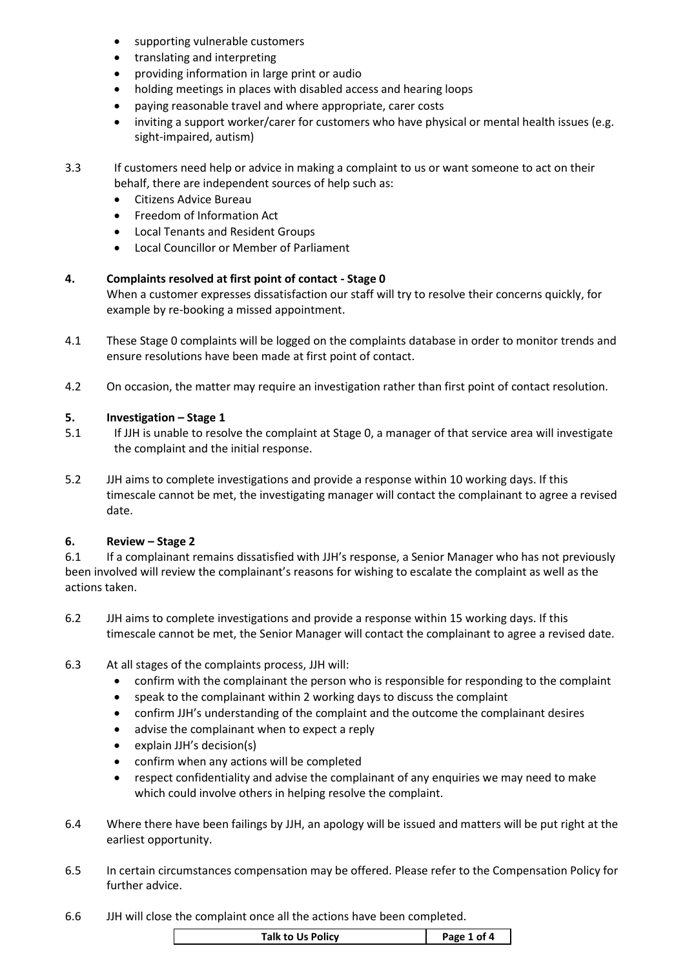- supporting vulnerable customers
- translating and interpreting
- providing information in large print or audio
- holding meetings in places with disabled access and hearing loops
- paying reasonable travel and where appropriate, carer costs
- inviting a support worker/carer for customers who have physical or mental health issues (e.g. sight-impaired, autism)
- 3.3 If customers need help or advice in making a complaint to us or want someone to act on their behalf, there are independent sources of help such as:
	- Citizens Advice Bureau
	- Freedom of Information Act
	- Local Tenants and Resident Groups
	- Local Councillor or Member of Parliament

# **4. Complaints resolved at first point of contact - Stage 0**

When a customer expresses dissatisfaction our staff will try to resolve their concerns quickly, for example by re-booking a missed appointment.

- 4.1 These Stage 0 complaints will be logged on the complaints database in order to monitor trends and ensure resolutions have been made at first point of contact.
- 4.2 On occasion, the matter may require an investigation rather than first point of contact resolution.

### **5. Investigation – Stage 1**

- 5.1 If JJH is unable to resolve the complaint at Stage 0, a manager of that service area will investigate the complaint and the initial response.
- 5.2 JJH aims to complete investigations and provide a response within 10 working days. If this timescale cannot be met, the investigating manager will contact the complainant to agree a revised date.

#### **6. Review – Stage 2**

6.1 If a complainant remains dissatisfied with JJH's response, a Senior Manager who has not previously been involved will review the complainant's reasons for wishing to escalate the complaint as well as the actions taken.

- 6.2 JJH aims to complete investigations and provide a response within 15 working days. If this timescale cannot be met, the Senior Manager will contact the complainant to agree a revised date.
- 6.3 At all stages of the complaints process, JJH will:
	- confirm with the complainant the person who is responsible for responding to the complaint
	- speak to the complainant within 2 working days to discuss the complaint
	- confirm JJH's understanding of the complaint and the outcome the complainant desires
	- advise the complainant when to expect a reply
	- explain JJH's decision(s)
	- confirm when any actions will be completed
	- respect confidentiality and advise the complainant of any enquiries we may need to make which could involve others in helping resolve the complaint.
- 6.4 Where there have been failings by JJH, an apology will be issued and matters will be put right at the earliest opportunity.
- 6.5 In certain circumstances compensation may be offered. Please refer to the Compensation Policy for further advice.
- 6.6 JJH will close the complaint once all the actions have been completed.

| <b>Talk to Us Policy</b> | Page 1 of 4 |
|--------------------------|-------------|
|                          |             |